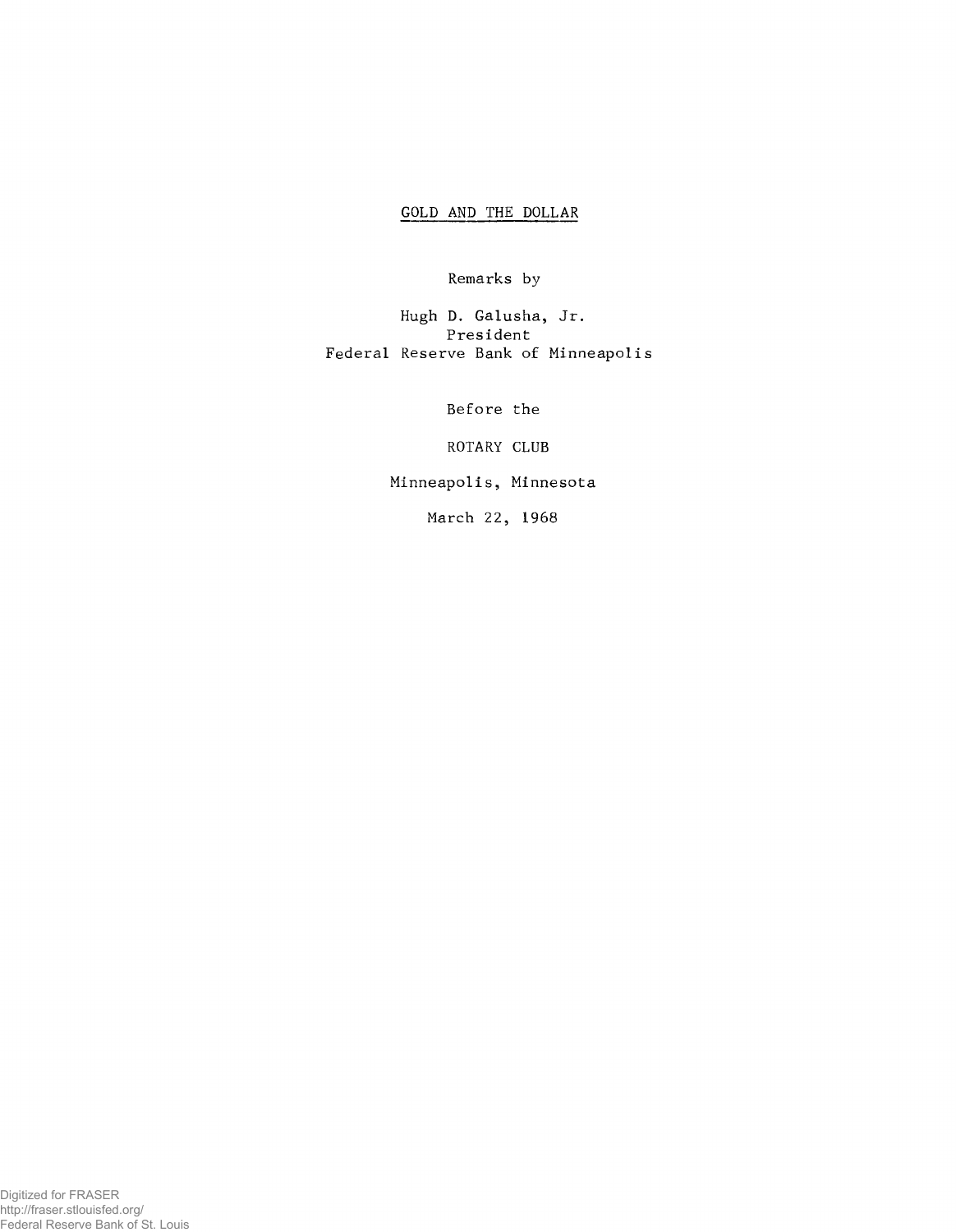## GOLD AND THE DOLLAR

Remarks by

Hugh D. Galusha, Jr. President Federal Reserve Bank of Minneapolis

Before the

ROTARY CLUB

Minneapolis, Minnesota

March 22, 1968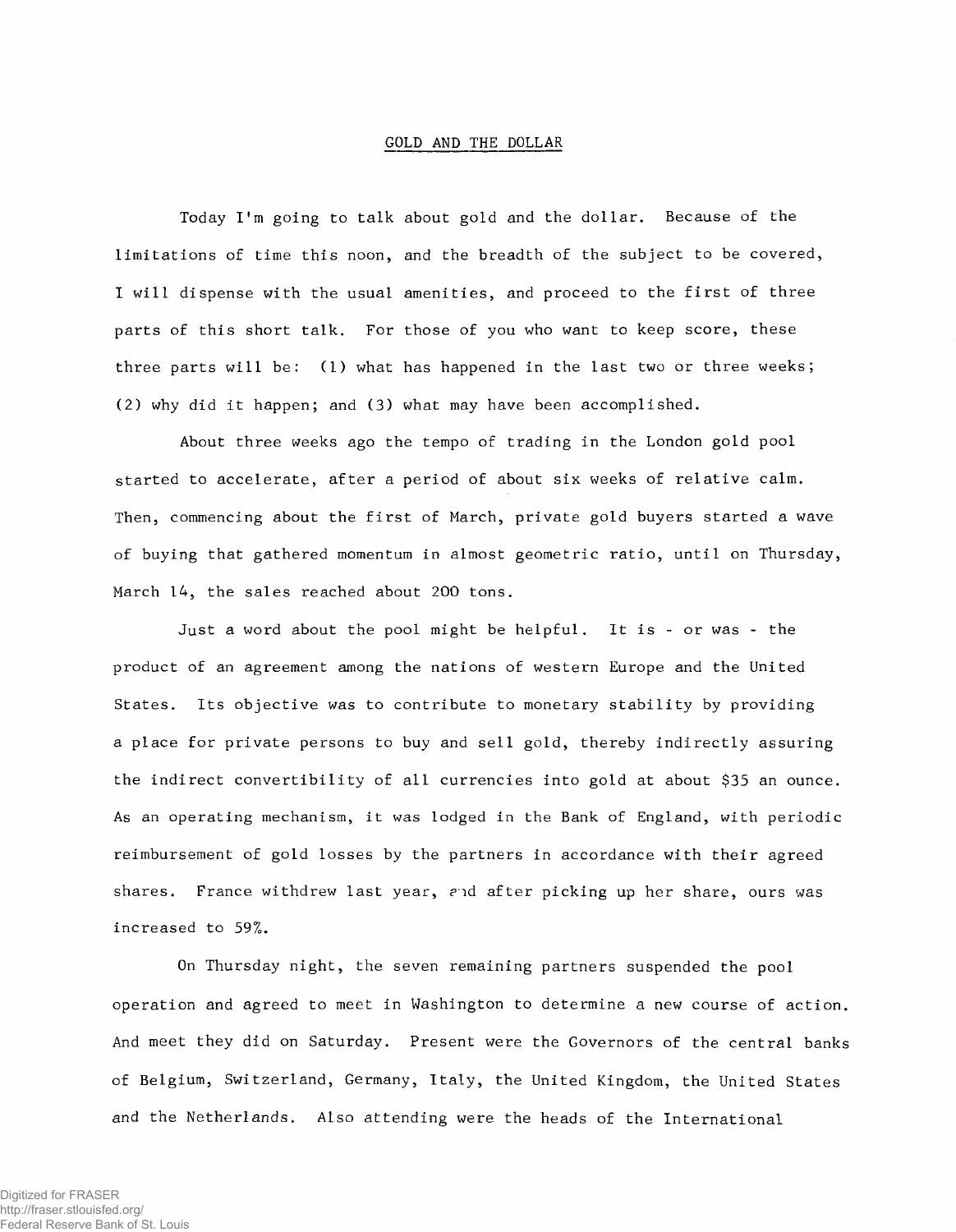## GOLD AND THE DOLLAR

Today I 'm going to talk about gold and the dollar. Because of the limitations of time this noon, and the breadth of the subject to be covered, I will dispense with the usual amenities, and proceed to the first of three parts of this short talk. For those of you who want to keep score, these three parts will be: (1) what has happened in the last two or three weeks; (2) why did it happen; and (3) what may have been accomplished.

About three weeks ago the tempo of trading in the London gold pool started to accelerate, after a period of about six weeks of relative calm. Then, commencing about the first of March, private gold buyers started a wave of buying that gathered momentum in almost geometric ratio, until on Thursday, March 14, the sales reached about 200 tons.

Just a word about the pool might be helpful. It is - or was - the product of an agreement among the nations of western Europe and the United States. Its objective was to contribute to monetary stability by providing a place for private persons to buy and sell gold, thereby indirectly assuring the indirect convertibility of all currencies into gold at about \$35 an ounce. As an operating mechanism, it was lodged in the Bank of England, with periodic reimbursement of gold losses by the partners in accordance with their agreed shares. France withdrew last year, and after picking up her share, ours was increased to 59%.

On Thursday night, the seven remaining partners suspended the pool operation and agreed to meet in Washington to determine a new course of action. And meet they did on Saturday. Present were the Governors of the central banks of Belgium, Switzerland, Germany, Italy, the United Kingdom, the United States and the Netherlands. Also attending were the heads of the International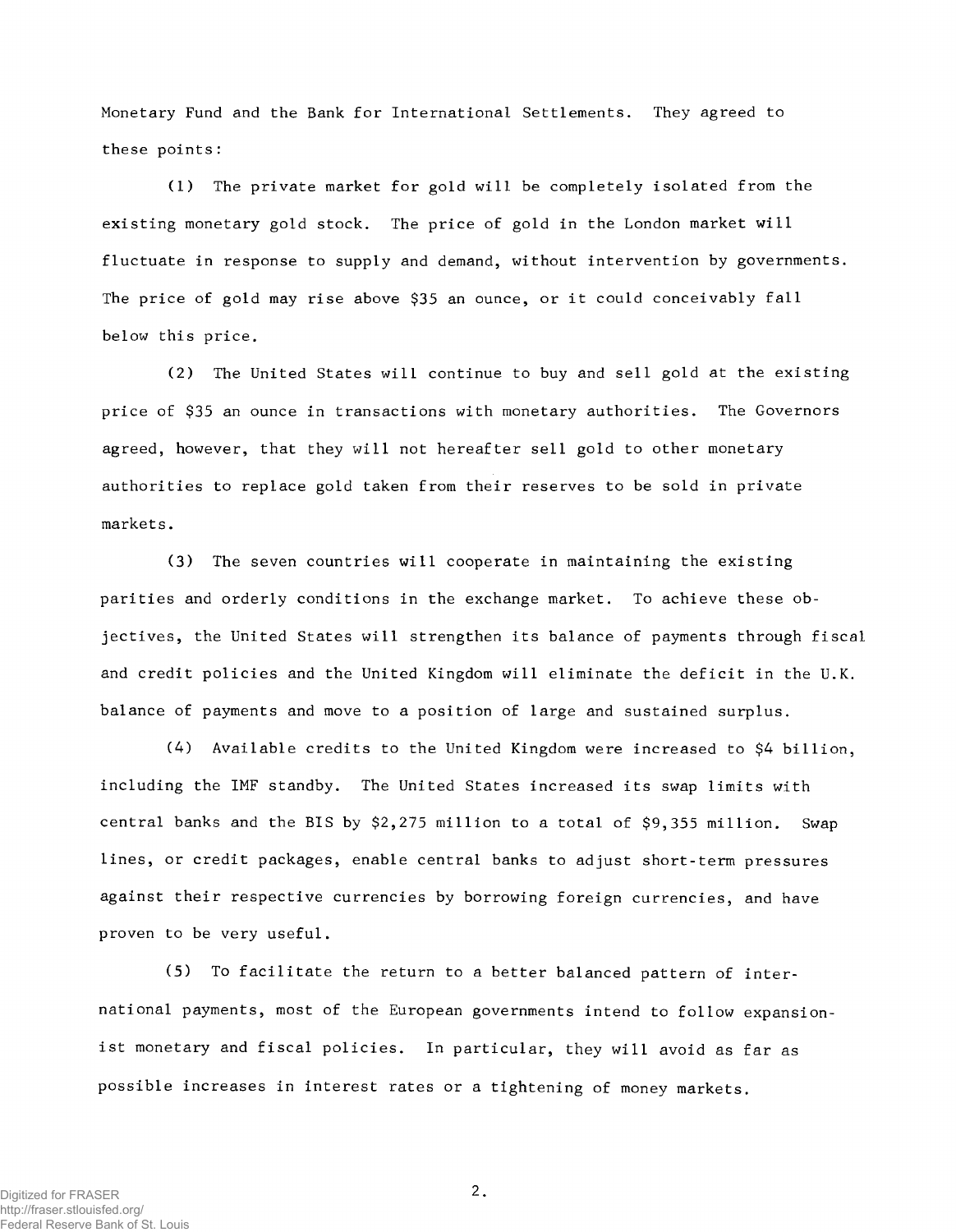Monetary Fund and the Bank for International Settlements. They agreed to these points:

(1) The private market for gold will be completely isolated from the existing monetary gold stock. The price of gold in the London market will fluctuate in response to supply and demand, without intervention by governments. The price of gold may rise above \$35 an ounce, or it could conceivably fall below this price.

(2) The United States will continue to buy and sell gold at the existing price of \$35 an ounce in transactions with monetary authorities. The Governors agreed, however, that they will not hereafter sell gold to other monetary authorities to replace gold taken from their reserves to be sold in private markets.

(3) The seven countries will cooperate in maintaining the existing parities and orderly conditions in the exchange market. To achieve these objectives, the United States will strengthen its balance of payments through fiscal and credit policies and the United Kingdom will eliminate the deficit in the U.K. balance of payments and move to a position of large and sustained surplus.

(4) Available credits to the United Kingdom were increased to \$4 billion, including the IMF standby. The United States increased its swap limits with central banks and the BIS by \$2,275 million to a total of \$9,355 million. Swap lines, or credit packages, enable central banks to adjust short-term pressures against their respective currencies by borrowing foreign currencies, and have proven to be very useful.

 $(5)$  To facilitate the return to a better balanced pattern of international payments, most of the European governments intend to follow expansionist monetary and fiscal policies. In particular, they will avoid as far as possible increases in interest rates or a tightening of money markets.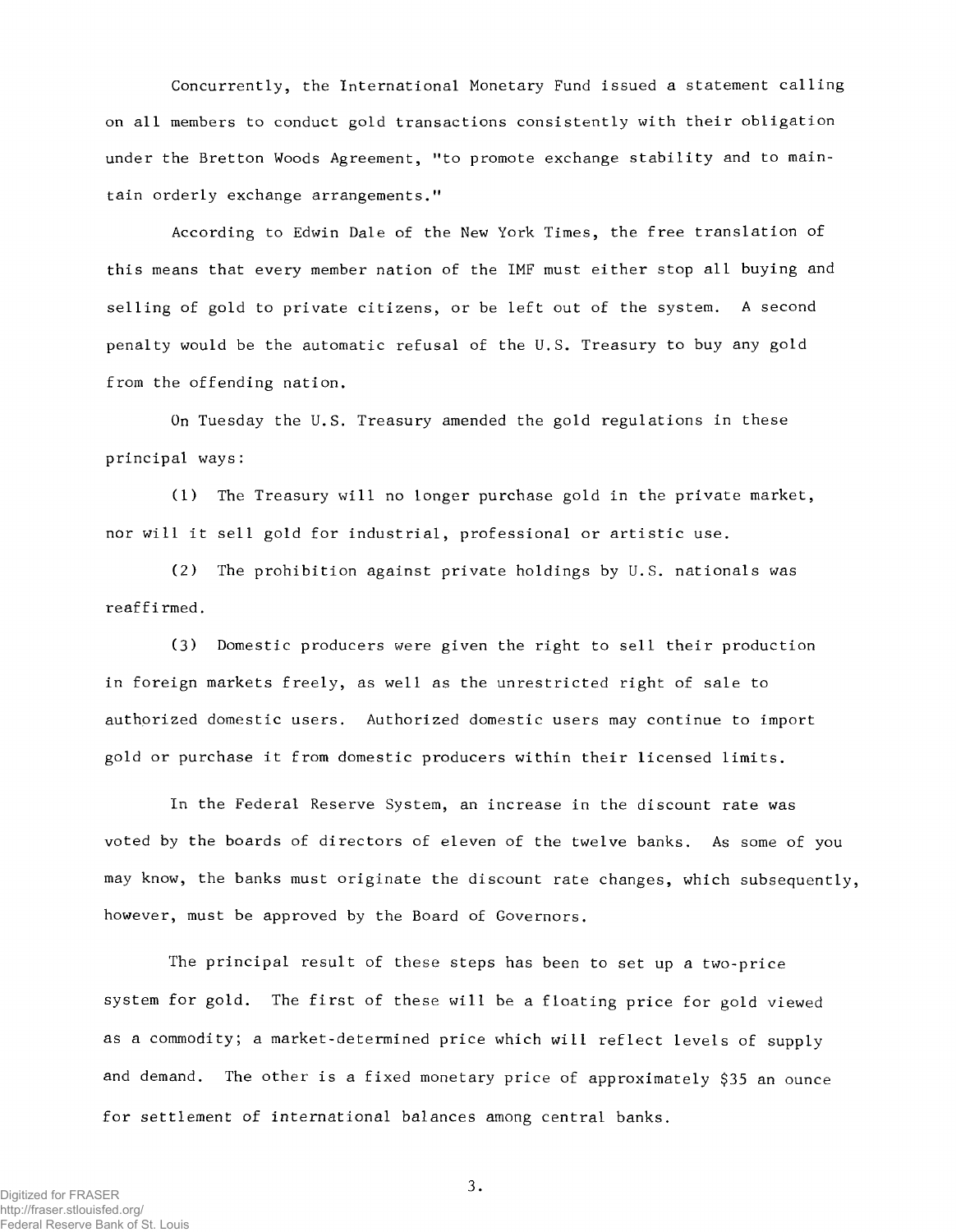Concurrently, the International Monetary Fund issued a statement calling on all members to conduct gold transactions consistently with their obligation under the Bretton Woods Agreement, "to promote exchange stability and to maintain orderly exchange arrangements."

According to Edwin Dale of the New York Times, the free translation of this means that every member nation of the IMF must either stop all buying and selling of gold to private citizens, or be left out of the system. A second penalty would be the automatic refusal of the U.S. Treasury to buy any gold from the offending nation.

On Tuesday the U.S. Treasury amended the gold regulations in these principal ways:

(1) The Treasury will no longer purchase gold in the private market, nor will it sell gold for industrial, professional or artistic use.

(2) The prohibition against private holdings by U.S. nationals was reaffirmed.

(3) Domestic producers were given the right to sell their production in foreign markets freely, as well as the unrestricted right of sale to authorized domestic users. Authorized domestic users may continue to import gold or purchase it from domestic producers within their licensed limits.

In the Federal Reserve System, an increase in the discount rate was voted by the boards of directors of eleven of the twelve banks. As some of you may know, the banks must originate the discount rate changes, which subsequently, however, must be approved by the Board of Governors.

The principal result of these steps has been to set up a two-price system for gold. The first of these will be a floating price for gold viewed as a commodity; a market-determined price which will reflect levels of supply and demand. The other is a fixed monetary price of approximately \$35 an ounce for settlement of international balances among central banks.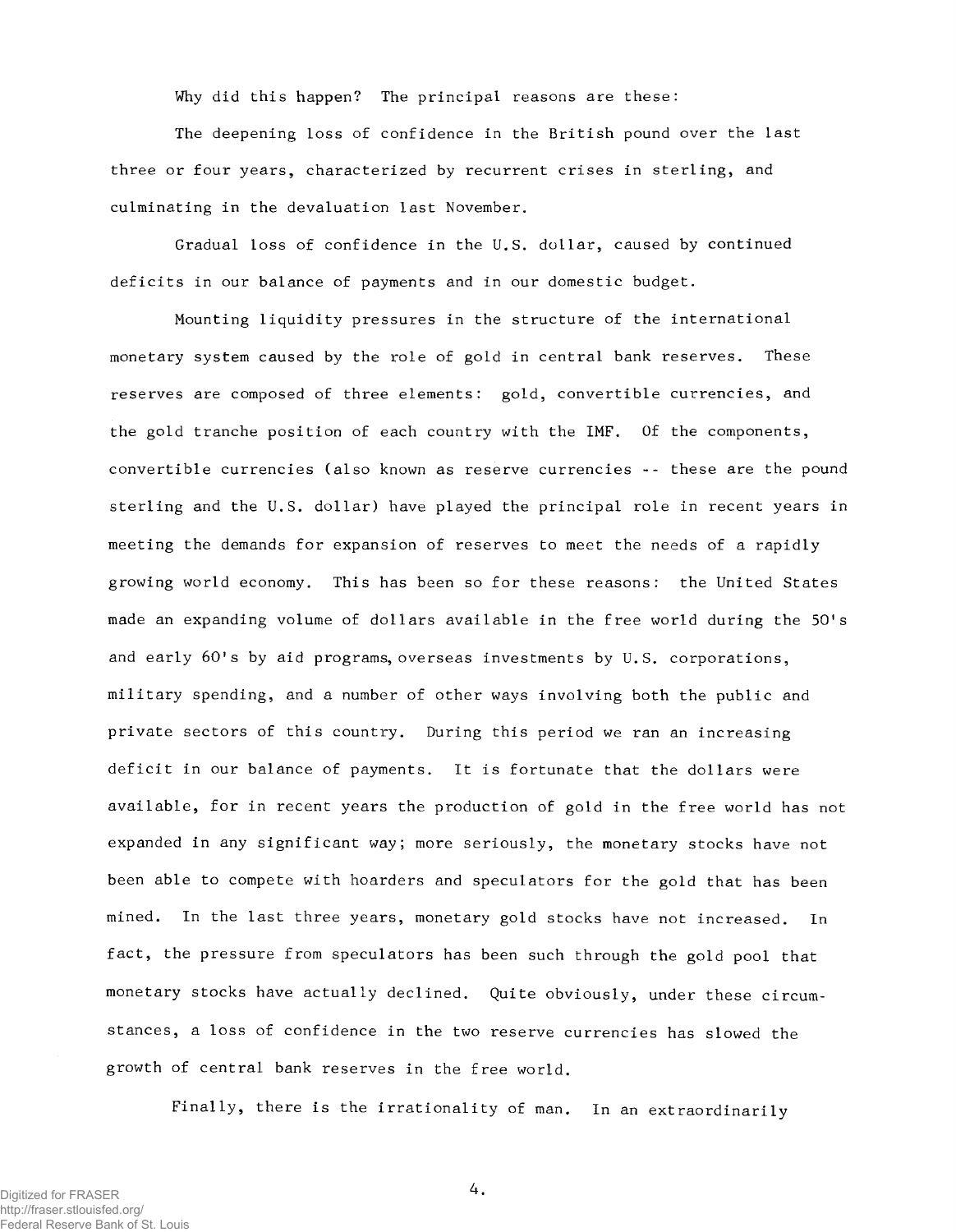Why did this happen? The principal reasons are these:

The deepening loss of confidence in the British pound over the last three or four years, characterized by recurrent crises in sterling, and culminating in the devaluation last November.

Gradual loss of confidence in the U.S. dollar, caused by continued deficits in our balance of payments and in our domestic budget.

Mounting liquidity pressures in the structure of the international monetary system caused by the role of gold in central bank reserves. These reserves are composed of three elements: gold, convertible currencies, and the gold tranche position of each country with the IMF. Of the components, convertible currencies (also known as reserve currencies -- these are the pound sterling and the U.S. dollar) have played the principal role in recent years in meeting the demands for expansion of reserves to meet the needs of a rapidly growing world economy. This has been so for these reasons: the United States made an expanding volume of dollars available in the free world during the 50's and early 60's by aid programs, overseas investments by U.S. corporations, military spending, and a number of other ways involving both the public and private sectors of this country. During this period we ran an increasing deficit in our balance of payments. It is fortunate that the dollars were available, for in recent years the production of gold in the free world has not expanded in any significant way; more seriously, the monetary stocks have not been able to compete with hoarders and speculators for the gold that has been mined. In the last three years, monetary gold stocks have not increased. In fact, the pressure from speculators has been such through the gold pool that monetary stocks have actually declined. Quite obviously, under these circumstances, a loss of confidence in the two reserve currencies has slowed the growth of central bank reserves in the free world.

Finally, there is the irrationality of man. In an extraordinarily

Digitized for FRASER http://fraser.stlouisfed.org/ Federal Reserve Bank of St. Louis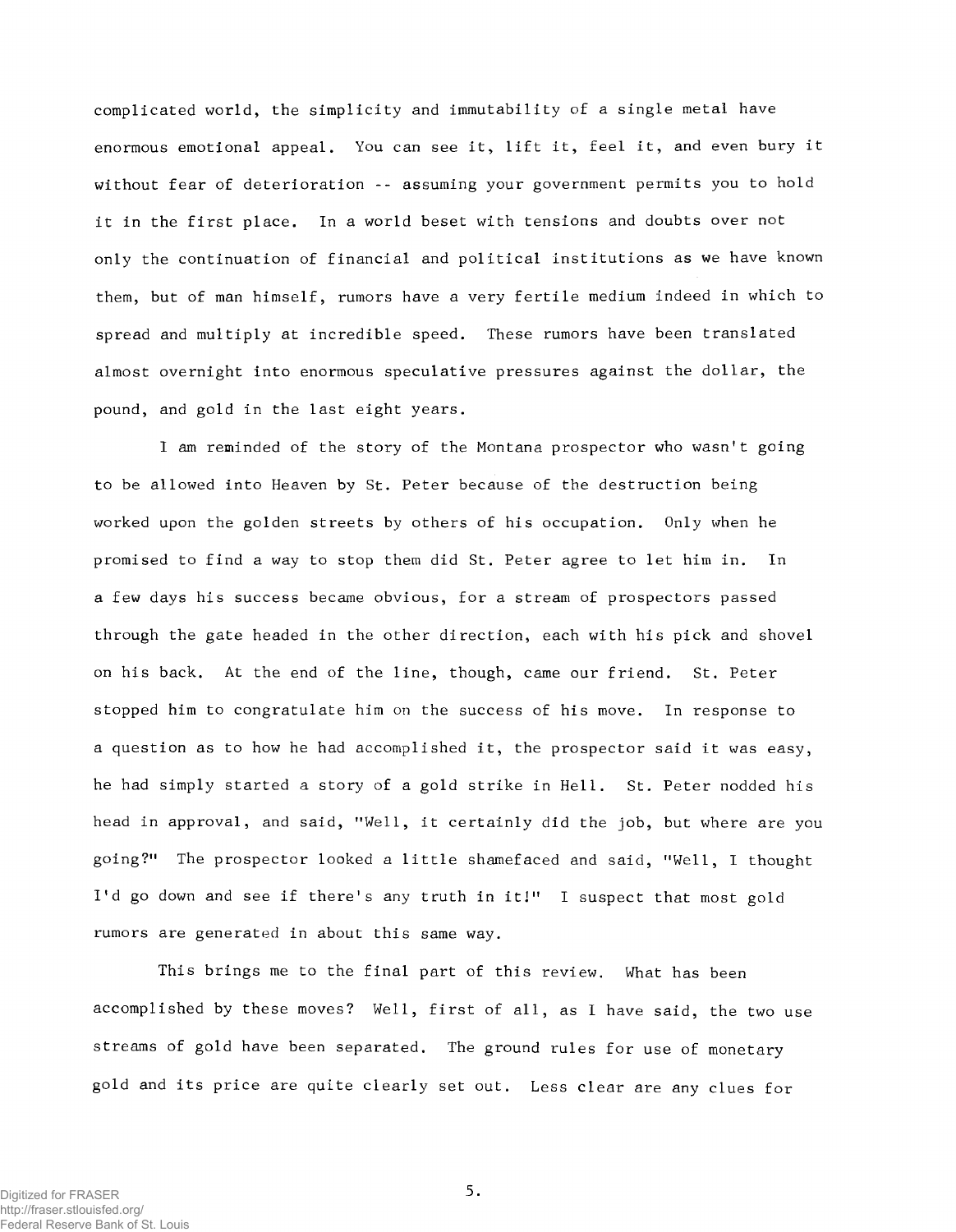complicated world, the simplicity and immutability of a single metal have enormous emotional appeal. You can see it, lift it, feel it, and even bury it without fear of deterioration -- assuming your government permits you to hold it in the first place. In a world beset with tensions and doubts over not only the continuation of financial and political institutions as we have known them, but of man himself, rumors have a very fertile medium indeed in which to spread and multiply at incredible speed. These rumors have been translated almost overnight into enormous speculative pressures against the dollar, the pound, and gold in the last eight years.

I am reminded of the story of the Montana prospector who wasn't going to be allowed into Heaven by St. Peter because of the destruction being worked upon the golden streets by others of his occupation. Only when he promised to find a way to stop them did St. Peter agree to let him in. In a few days his success became obvious, for a stream of prospectors passed through the gate headed in the other direction, each with his pick and shovel on his back. At the end of the line, though, came our friend. St. Peter stopped him to congratulate him on the success of his move. In response to a question as to how he had accomplished it, the prospector said it was easy, he had simply started a story of a gold strike in Hell. St. Peter nodded his head in approval, and said, "Well, it certainly did the job, but where are you going?" The prospector looked a little shamefaced and said, "Well, I thought I'd go down and see if there's any truth in it!" I suspect that most gold rumors are generated in about this same way.

This brings me to the final part of this review. What has been accomplished by these moves? Well, first of all, as I have said, the two use streams of gold have been separated. The ground rules for use of monetary gold and its price are quite clearly set out. Less clear are any clues for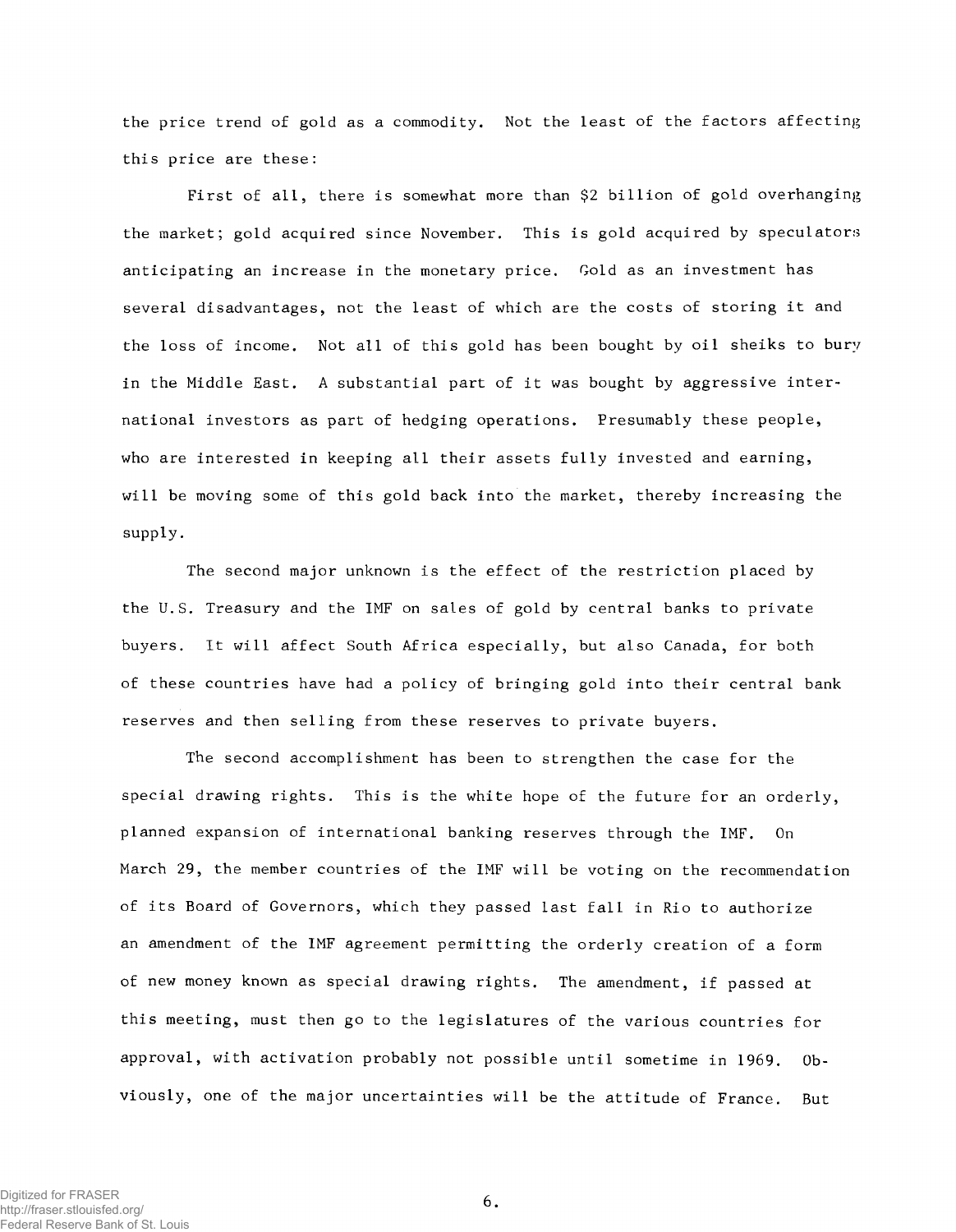the price trend of gold as a commodity. Not the least of the factors affecting this price are these:

First of all, there is somewhat more than \$2 billion of gold overhanging the market; gold acquired since November. This is gold acquired by speculators anticipating an increase in the monetary price. Gold as an investment has several disadvantages, not the least of which are the costs of storing it and the loss of income. Not all of this gold has been bought by oil sheiks to bury in the Middle East. A substantial part of it was bought by aggressive international investors as part of hedging operations. Presumably these people, who are interested in keeping all their assets fully invested and earning, will be moving some of this gold back into the market, thereby increasing the supply.

The second major unknown is the effect of the restriction placed by the U.S. Treasury and the IMF on sales of gold by central banks to private buyers. It will affect South Africa especially, but also Canada, for both of these countries have had a policy of bringing gold into their central bank reserves and then selling from these reserves to private buyers.

The second accomplishment has been to strengthen the case for the special drawing rights. This is the white hope of the future for an orderly, planned expansion of international banking reserves through the IMF. On March 29, the member countries of the IMF will be voting on the recommendation of its Board of Governors, which they passed last fall in Rio to authorize an amendment of the IMF agreement permitting the orderly creation of a form of new money known as special drawing rights. The amendment, if passed at this meeting, must then go to the legislatures of the various countries for approval, with activation probably not possible until sometime in 1969. Obviously, one of the major uncertainties will be the attitude of France. But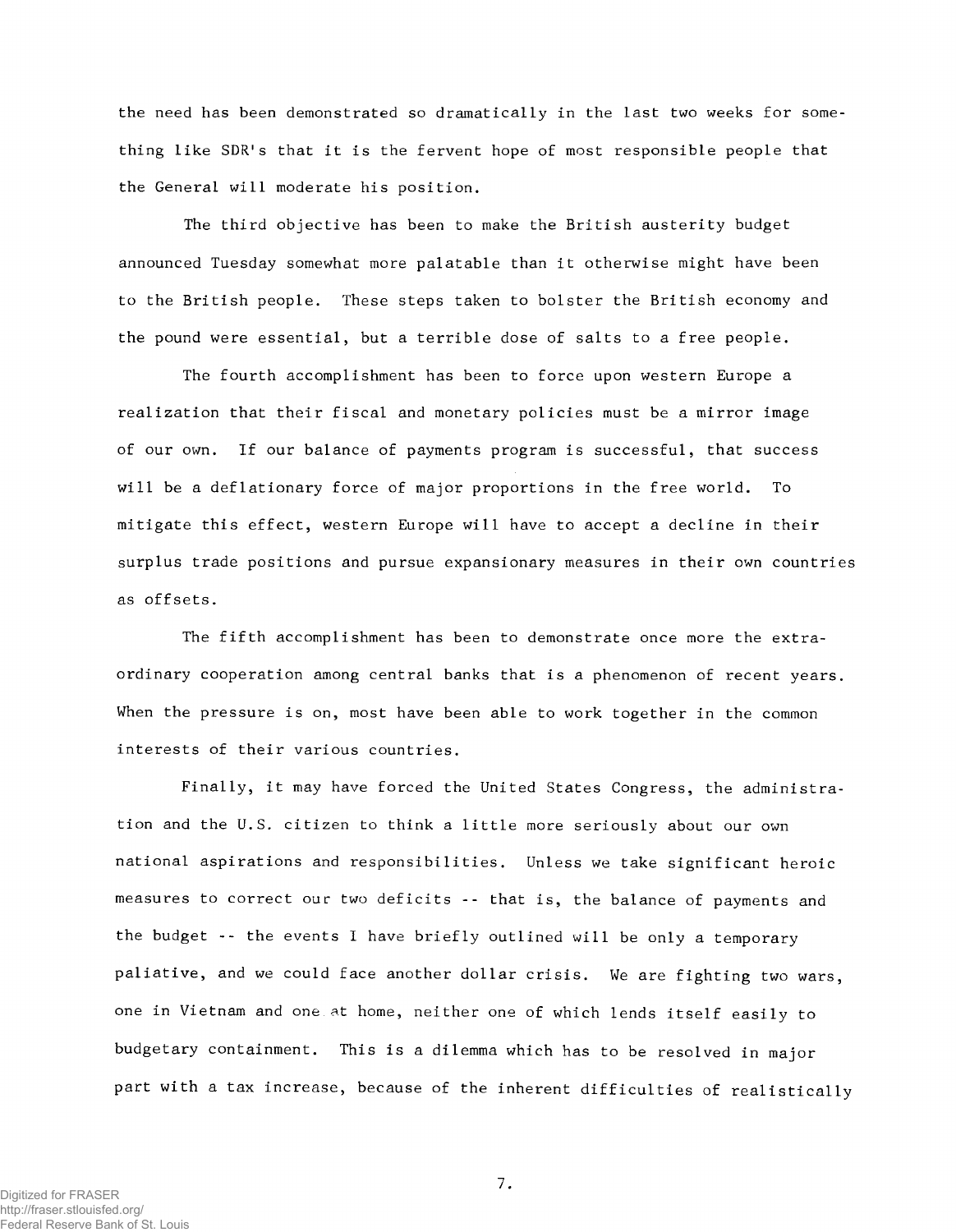the need has been demonstrated so dramatically in the last two weeks for something like SDR's that it is the fervent hope of most responsible people that the General will moderate his position.

The third objective has been to make the British austerity budget announced Tuesday somewhat more palatable than it otherwise might have been to the British people. These steps taken to bolster the British economy and the pound were essential, but a terrible dose of salts to a free people.

The fourth accomplishment has been to force upon western Europe a realization that their fiscal and monetary policies must be a mirror image of our own. If our balance of payments program is successful, that success will be a deflationary force of major proportions in the free world. To mitigate this effect, western Europe will have to accept a decline in their surplus trade positions and pursue expansionary measures in their own countries as offsets.

The fifth accomplishment has been to demonstrate once more the extraordinary cooperation among central banks that is a phenomenon of recent years. When the pressure is on, most have been able to work together in the common interests of their various countries.

Finally, it may have forced the United States Congress, the administration and the U.S. citizen to think a little more seriously about our own national aspirations and responsibilities. Unless we take significant heroic measures to correct our two deficits -- that is, the balance of payments and the budget -- the events I have briefly outlined will be only a temporary paliative, and we could face another dollar crisis. We are fighting two wars, one in Vietnam and one at home, neither one of which lends itself easily to budgetary containment. This is a dilemma which has to be resolved in major part with a tax increase, because of the inherent difficulties of realistically